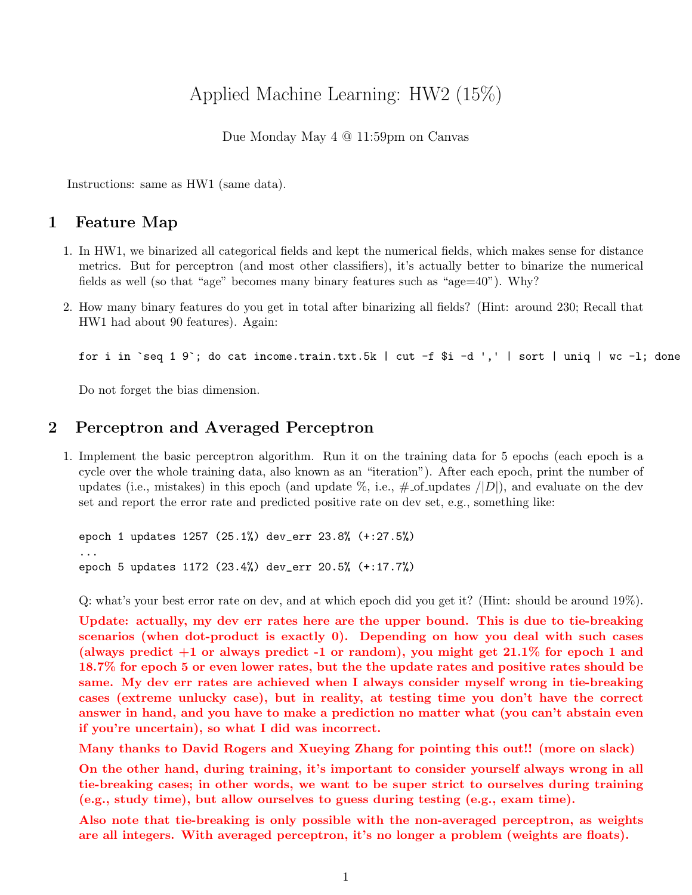# Applied Machine Learning: HW2 (15%)

Due Monday May 4 @ 11:59pm on Canvas

Instructions: same as HW1 (same data).

#### 1 Feature Map

- 1. In HW1, we binarized all categorical fields and kept the numerical fields, which makes sense for distance metrics. But for perceptron (and most other classifiers), it's actually better to binarize the numerical fields as well (so that "age" becomes many binary features such as "age=40"). Why?
- 2. How many binary features do you get in total after binarizing all fields? (Hint: around 230; Recall that HW1 had about 90 features). Again:

for i in `seq 1 9`; do cat income.train.txt.5k | cut -f \$i -d ',' | sort | uniq | wc -l; done

Do not forget the bias dimension.

#### 2 Perceptron and Averaged Perceptron

1. Implement the basic perceptron algorithm. Run it on the training data for 5 epochs (each epoch is a cycle over the whole training data, also known as an "iteration"). After each epoch, print the number of updates (i.e., mistakes) in this epoch (and update  $\%$ , i.e.,  $\#$ -of-updates  $/|D|$ ), and evaluate on the dev set and report the error rate and predicted positive rate on dev set, e.g., something like:

epoch 1 updates 1257 (25.1%) dev\_err 23.8% (+:27.5%) ... epoch 5 updates 1172 (23.4%) dev\_err 20.5% (+:17.7%)

Q: what's your best error rate on dev, and at which epoch did you get it? (Hint: should be around 19%).

Update: actually, my dev err rates here are the upper bound. This is due to tie-breaking scenarios (when dot-product is exactly 0). Depending on how you deal with such cases (always predict  $+1$  or always predict  $-1$  or random), you might get 21.1% for epoch 1 and 18.7% for epoch 5 or even lower rates, but the the update rates and positive rates should be same. My dev err rates are achieved when I always consider myself wrong in tie-breaking cases (extreme unlucky case), but in reality, at testing time you don't have the correct answer in hand, and you have to make a prediction no matter what (you can't abstain even if you're uncertain), so what I did was incorrect.

Many thanks to David Rogers and Xueying Zhang for pointing this out!! (more on slack)

On the other hand, during training, it's important to consider yourself always wrong in all tie-breaking cases; in other words, we want to be super strict to ourselves during training (e.g., study time), but allow ourselves to guess during testing (e.g., exam time).

Also note that tie-breaking is only possible with the non-averaged perceptron, as weights are all integers. With averaged perceptron, it's no longer a problem (weights are floats).